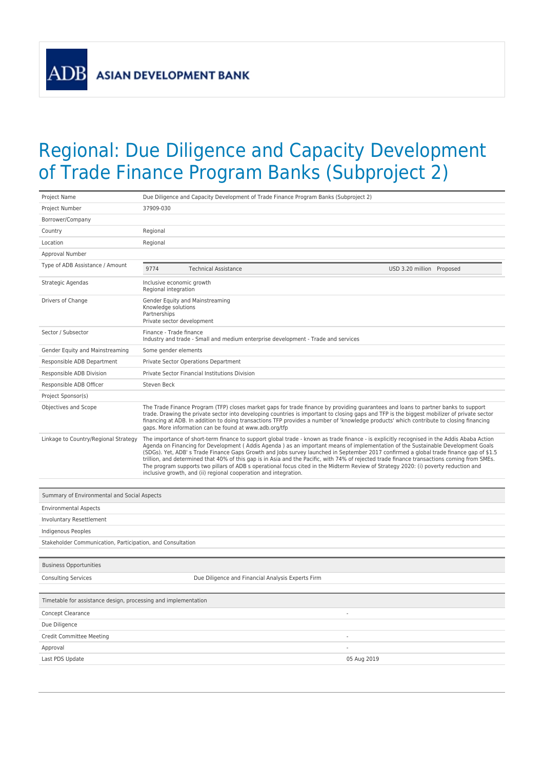**ADB** 

## Regional: Due Diligence and Capacity Development of Trade Finance Program Banks (Subproject 2)

| Project Name                                                   | Due Diligence and Capacity Development of Trade Finance Program Banks (Subproject 2)                                                                                                                                                                                                                                                                                                                                                                                                                                                                                                                                                                                                                                                                                              |  |
|----------------------------------------------------------------|-----------------------------------------------------------------------------------------------------------------------------------------------------------------------------------------------------------------------------------------------------------------------------------------------------------------------------------------------------------------------------------------------------------------------------------------------------------------------------------------------------------------------------------------------------------------------------------------------------------------------------------------------------------------------------------------------------------------------------------------------------------------------------------|--|
| Project Number                                                 | 37909-030                                                                                                                                                                                                                                                                                                                                                                                                                                                                                                                                                                                                                                                                                                                                                                         |  |
| Borrower/Company                                               |                                                                                                                                                                                                                                                                                                                                                                                                                                                                                                                                                                                                                                                                                                                                                                                   |  |
| Country                                                        | Regional                                                                                                                                                                                                                                                                                                                                                                                                                                                                                                                                                                                                                                                                                                                                                                          |  |
| Location                                                       | Regional                                                                                                                                                                                                                                                                                                                                                                                                                                                                                                                                                                                                                                                                                                                                                                          |  |
| Approval Number                                                |                                                                                                                                                                                                                                                                                                                                                                                                                                                                                                                                                                                                                                                                                                                                                                                   |  |
| Type of ADB Assistance / Amount                                | 9774<br>USD 3.20 million Proposed<br><b>Technical Assistance</b>                                                                                                                                                                                                                                                                                                                                                                                                                                                                                                                                                                                                                                                                                                                  |  |
| Strategic Agendas                                              | Inclusive economic growth<br>Regional integration                                                                                                                                                                                                                                                                                                                                                                                                                                                                                                                                                                                                                                                                                                                                 |  |
| Drivers of Change                                              | Gender Equity and Mainstreaming<br>Knowledge solutions<br>Partnerships<br>Private sector development                                                                                                                                                                                                                                                                                                                                                                                                                                                                                                                                                                                                                                                                              |  |
| Sector / Subsector                                             | Finance - Trade finance<br>Industry and trade - Small and medium enterprise development - Trade and services                                                                                                                                                                                                                                                                                                                                                                                                                                                                                                                                                                                                                                                                      |  |
| Gender Equity and Mainstreaming                                | Some gender elements                                                                                                                                                                                                                                                                                                                                                                                                                                                                                                                                                                                                                                                                                                                                                              |  |
| Responsible ADB Department                                     | Private Sector Operations Department                                                                                                                                                                                                                                                                                                                                                                                                                                                                                                                                                                                                                                                                                                                                              |  |
| Responsible ADB Division                                       | Private Sector Financial Institutions Division                                                                                                                                                                                                                                                                                                                                                                                                                                                                                                                                                                                                                                                                                                                                    |  |
| Responsible ADB Officer                                        | Steven Beck                                                                                                                                                                                                                                                                                                                                                                                                                                                                                                                                                                                                                                                                                                                                                                       |  |
| Project Sponsor(s)                                             |                                                                                                                                                                                                                                                                                                                                                                                                                                                                                                                                                                                                                                                                                                                                                                                   |  |
| Objectives and Scope                                           | The Trade Finance Program (TFP) closes market gaps for trade finance by providing quarantees and loans to partner banks to support<br>trade. Drawing the private sector into developing countries is important to closing gaps and TFP is the biggest mobilizer of private sector<br>financing at ADB. In addition to doing transactions TFP provides a number of 'knowledge products' which contribute to closing financing<br>gaps. More information can be found at www.adb.org/tfp                                                                                                                                                                                                                                                                                            |  |
| Linkage to Country/Regional Strategy                           | The importance of short-term finance to support global trade - known as trade finance - is explicitly recognised in the Addis Ababa Action<br>Agenda on Financing for Development (Addis Agenda) as an important means of implementation of the Sustainable Development Goals<br>(SDGs). Yet, ADB' s Trade Finance Gaps Growth and Jobs survey launched in September 2017 confirmed a global trade finance gap of \$1.5<br>trillion, and determined that 40% of this gap is in Asia and the Pacific, with 74% of rejected trade finance transactions coming from SMEs.<br>The program supports two pillars of ADB s operational focus cited in the Midterm Review of Strategy 2020: (i) poverty reduction and<br>inclusive growth, and (ii) regional cooperation and integration. |  |
|                                                                |                                                                                                                                                                                                                                                                                                                                                                                                                                                                                                                                                                                                                                                                                                                                                                                   |  |
| Summary of Environmental and Social Aspects                    |                                                                                                                                                                                                                                                                                                                                                                                                                                                                                                                                                                                                                                                                                                                                                                                   |  |
| <b>Environmental Aspects</b>                                   |                                                                                                                                                                                                                                                                                                                                                                                                                                                                                                                                                                                                                                                                                                                                                                                   |  |
| Involuntary Resettlement                                       |                                                                                                                                                                                                                                                                                                                                                                                                                                                                                                                                                                                                                                                                                                                                                                                   |  |
| Indigenous Peoples                                             |                                                                                                                                                                                                                                                                                                                                                                                                                                                                                                                                                                                                                                                                                                                                                                                   |  |
| Stakeholder Communication, Participation, and Consultation     |                                                                                                                                                                                                                                                                                                                                                                                                                                                                                                                                                                                                                                                                                                                                                                                   |  |
| <b>Business Opportunities</b>                                  |                                                                                                                                                                                                                                                                                                                                                                                                                                                                                                                                                                                                                                                                                                                                                                                   |  |
| <b>Consulting Services</b>                                     | Due Diligence and Financial Analysis Experts Firm                                                                                                                                                                                                                                                                                                                                                                                                                                                                                                                                                                                                                                                                                                                                 |  |
| Timetable for assistance design, processing and implementation |                                                                                                                                                                                                                                                                                                                                                                                                                                                                                                                                                                                                                                                                                                                                                                                   |  |
| Concept Clearance                                              |                                                                                                                                                                                                                                                                                                                                                                                                                                                                                                                                                                                                                                                                                                                                                                                   |  |
| Due Diligence                                                  |                                                                                                                                                                                                                                                                                                                                                                                                                                                                                                                                                                                                                                                                                                                                                                                   |  |
| Credit Committee Meeting<br>$\overline{\phantom{a}}$           |                                                                                                                                                                                                                                                                                                                                                                                                                                                                                                                                                                                                                                                                                                                                                                                   |  |
| Approval                                                       | $\overline{\phantom{a}}$                                                                                                                                                                                                                                                                                                                                                                                                                                                                                                                                                                                                                                                                                                                                                          |  |
| Last PDS Update                                                | 05 Aug 2019                                                                                                                                                                                                                                                                                                                                                                                                                                                                                                                                                                                                                                                                                                                                                                       |  |
|                                                                |                                                                                                                                                                                                                                                                                                                                                                                                                                                                                                                                                                                                                                                                                                                                                                                   |  |